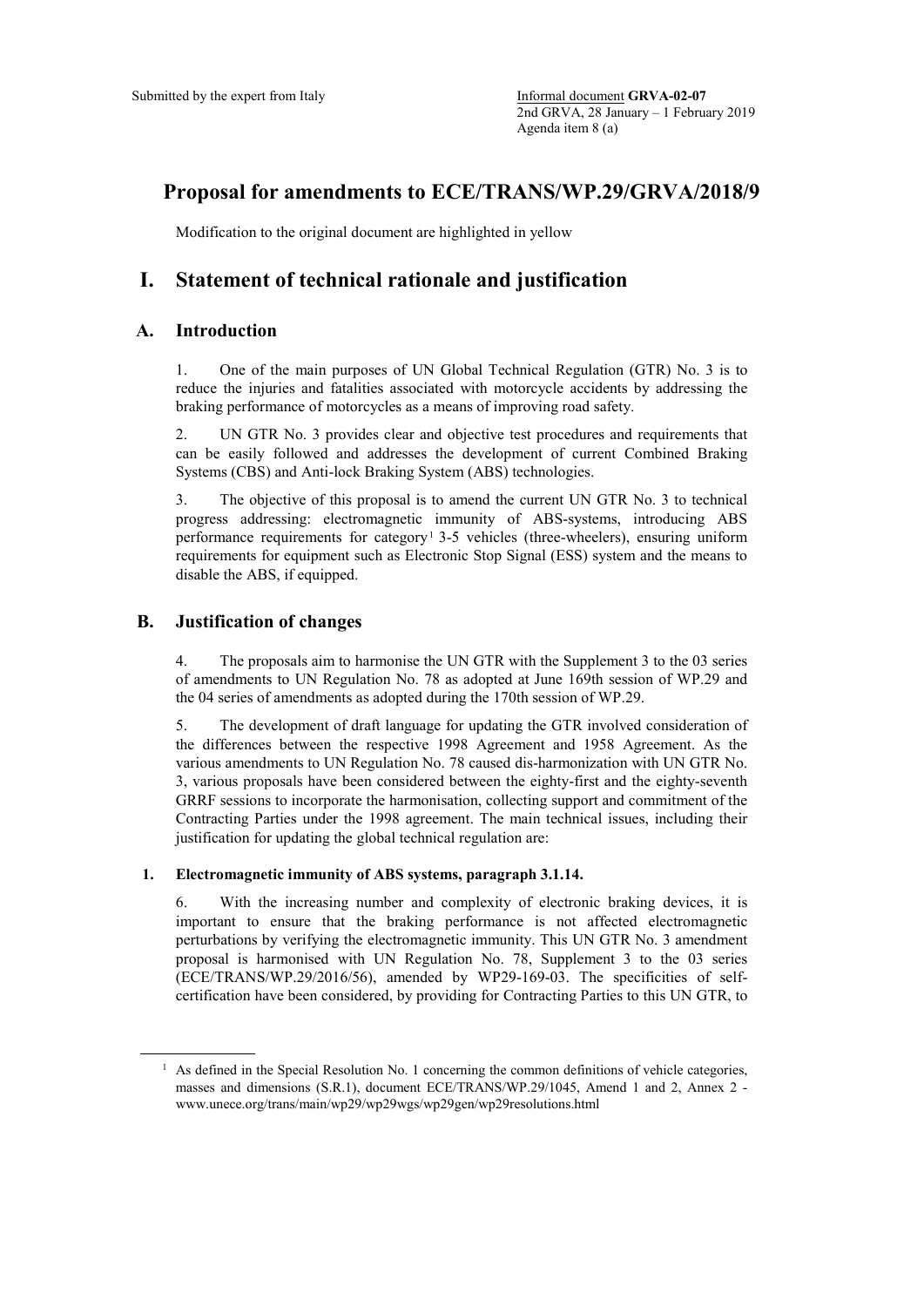# **Proposal for amendments to ECE/TRANS/WP.29/GRVA/2018/9**

Modification to the original document are highlighted in yellow

# **I. Statement of technical rationale and justification**

### **A. Introduction**

1. One of the main purposes of UN Global Technical Regulation (GTR) No. 3 is to reduce the injuries and fatalities associated with motorcycle accidents by addressing the braking performance of motorcycles as a means of improving road safety.

2. UN GTR No. 3 provides clear and objective test procedures and requirements that can be easily followed and addresses the development of current Combined Braking Systems (CBS) and Anti-lock Braking System (ABS) technologies.

3. The objective of this proposal is to amend the current UN GTR No. 3 to technical progress addressing: electromagnetic immunity of ABS-systems, introducing ABS performance requirements for category<sup>[1](#page-0-0)</sup> 3-5 vehicles (three-wheelers), ensuring uniform requirements for equipment such as Electronic Stop Signal (ESS) system and the means to disable the ABS, if equipped.

## **B. Justification of changes**

4. The proposals aim to harmonise the UN GTR with the Supplement 3 to the 03 series of amendments to UN Regulation No. 78 as adopted at June 169th session of WP.29 and the 04 series of amendments as adopted during the 170th session of WP.29.

5. The development of draft language for updating the GTR involved consideration of the differences between the respective 1998 Agreement and 1958 Agreement. As the various amendments to UN Regulation No. 78 caused dis-harmonization with UN GTR No. 3, various proposals have been considered between the eighty-first and the eighty-seventh GRRF sessions to incorporate the harmonisation, collecting support and commitment of the Contracting Parties under the 1998 agreement. The main technical issues, including their justification for updating the global technical regulation are:

#### **1. Electromagnetic immunity of ABS systems, paragraph 3.1.14.**

6. With the increasing number and complexity of electronic braking devices, it is important to ensure that the braking performance is not affected electromagnetic perturbations by verifying the electromagnetic immunity. This UN GTR No. 3 amendment proposal is harmonised with UN Regulation No. 78, Supplement 3 to the 03 series (ECE/TRANS/WP.29/2016/56), amended by WP29-169-03. The specificities of selfcertification have been considered, by providing for Contracting Parties to this UN GTR, to

<span id="page-0-0"></span> $<sup>1</sup>$  As defined in the Special Resolution No. 1 concerning the common definitions of vehicle categories,</sup> masses and dimensions (S.R.1), document ECE/TRANS/WP.29/1045, Amend 1 and 2, Annex 2 www.unece.org/trans/main/wp29/wp29wgs/wp29gen/wp29resolutions.html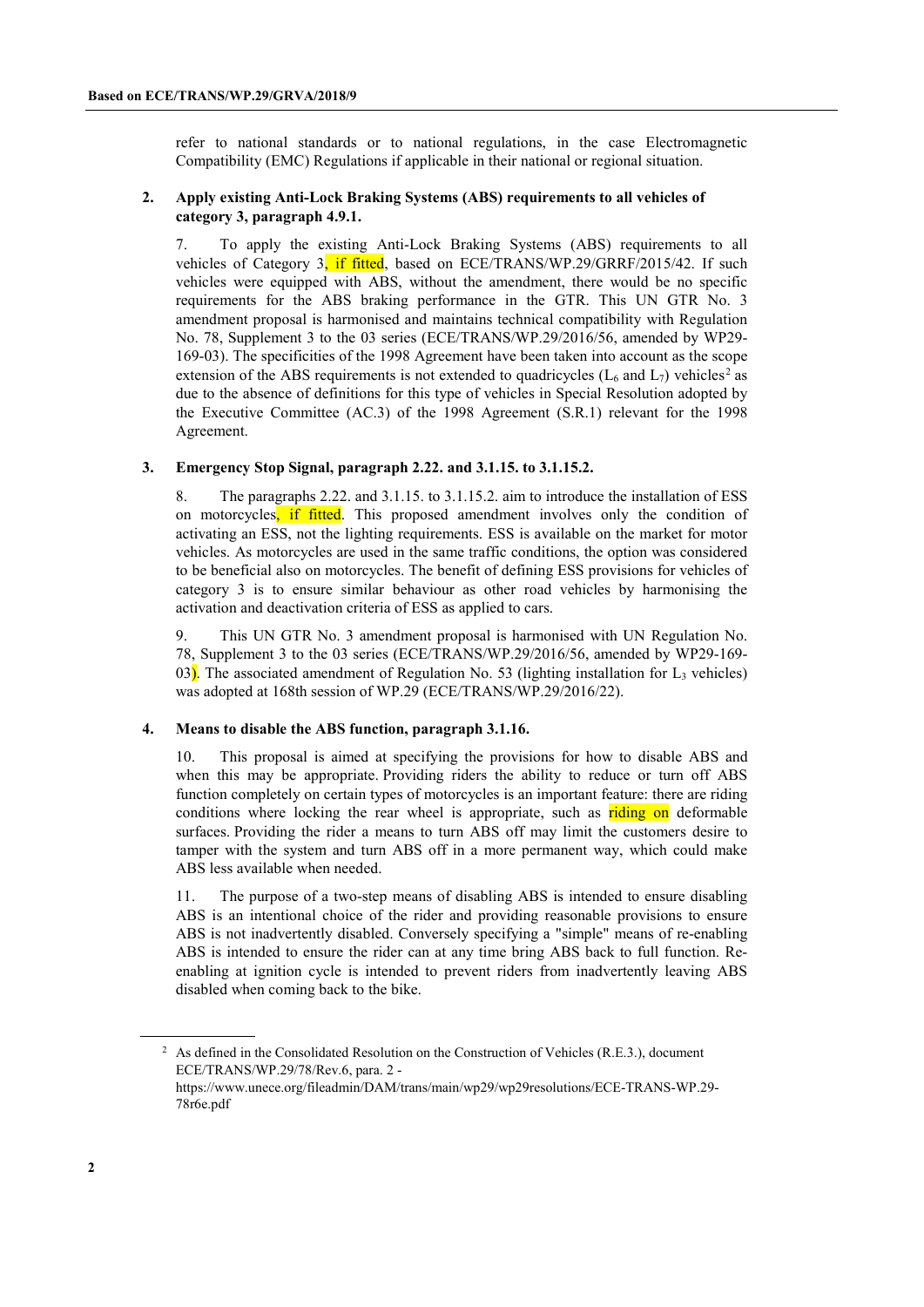refer to national standards or to national regulations, in the case Electromagnetic Compatibility (EMC) Regulations if applicable in their national or regional situation.

#### **2. Apply existing Anti-Lock Braking Systems (ABS) requirements to all vehicles of category 3, paragraph 4.9.1.**

7. To apply the existing Anti-Lock Braking Systems (ABS) requirements to all vehicles of Category 3, if fitted, based on ECE/TRANS/WP.29/GRRF/2015/42. If such vehicles were equipped with ABS, without the amendment, there would be no specific requirements for the ABS braking performance in the GTR. This UN GTR No. 3 amendment proposal is harmonised and maintains technical compatibility with Regulation No. 78, Supplement 3 to the 03 series (ECE/TRANS/WP.29/2016/56, amended by WP29- 169-03). The specificities of the 1998 Agreement have been taken into account as the scope extension of the ABS requirements is not extended to quadricycles ( $L_6$  and  $L_7$ ) vehicles<sup>[2](#page-1-0)</sup> as due to the absence of definitions for this type of vehicles in Special Resolution adopted by the Executive Committee (AC.3) of the 1998 Agreement (S.R.1) relevant for the 1998 Agreement.

#### **3. Emergency Stop Signal, paragraph 2.22. and 3.1.15. to 3.1.15.2.**

8. The paragraphs 2.22. and 3.1.15. to 3.1.15.2. aim to introduce the installation of ESS on motorcycles, if fitted. This proposed amendment involves only the condition of activating an ESS, not the lighting requirements. ESS is available on the market for motor vehicles. As motorcycles are used in the same traffic conditions, the option was considered to be beneficial also on motorcycles. The benefit of defining ESS provisions for vehicles of category 3 is to ensure similar behaviour as other road vehicles by harmonising the activation and deactivation criteria of ESS as applied to cars.

9. This UN GTR No. 3 amendment proposal is harmonised with UN Regulation No. 78, Supplement 3 to the 03 series (ECE/TRANS/WP.29/2016/56, amended by WP29-169- 03). The associated amendment of Regulation No. 53 (lighting installation for  $L_3$  vehicles) was adopted at 168th session of WP.29 (ECE/TRANS/WP.29/2016/22).

#### **4. Means to disable the ABS function, paragraph 3.1.16.**

10. This proposal is aimed at specifying the provisions for how to disable ABS and when this may be appropriate. Providing riders the ability to reduce or turn off ABS function completely on certain types of motorcycles is an important feature: there are riding conditions where locking the rear wheel is appropriate, such as riding on deformable surfaces. Providing the rider a means to turn ABS off may limit the customers desire to tamper with the system and turn ABS off in a more permanent way, which could make ABS less available when needed.

11. The purpose of a two-step means of disabling ABS is intended to ensure disabling ABS is an intentional choice of the rider and providing reasonable provisions to ensure ABS is not inadvertently disabled. Conversely specifying a "simple" means of re-enabling ABS is intended to ensure the rider can at any time bring ABS back to full function. Reenabling at ignition cycle is intended to prevent riders from inadvertently leaving ABS disabled when coming back to the bike.

<span id="page-1-0"></span><sup>&</sup>lt;sup>2</sup> As defined in the Consolidated Resolution on the Construction of Vehicles (R.E.3.), document ECE/TRANS/WP.29/78/Rev.6, para. 2 -

https://www.unece.org/fileadmin/DAM/trans/main/wp29/wp29resolutions/ECE-TRANS-WP.29- 78r6e.pdf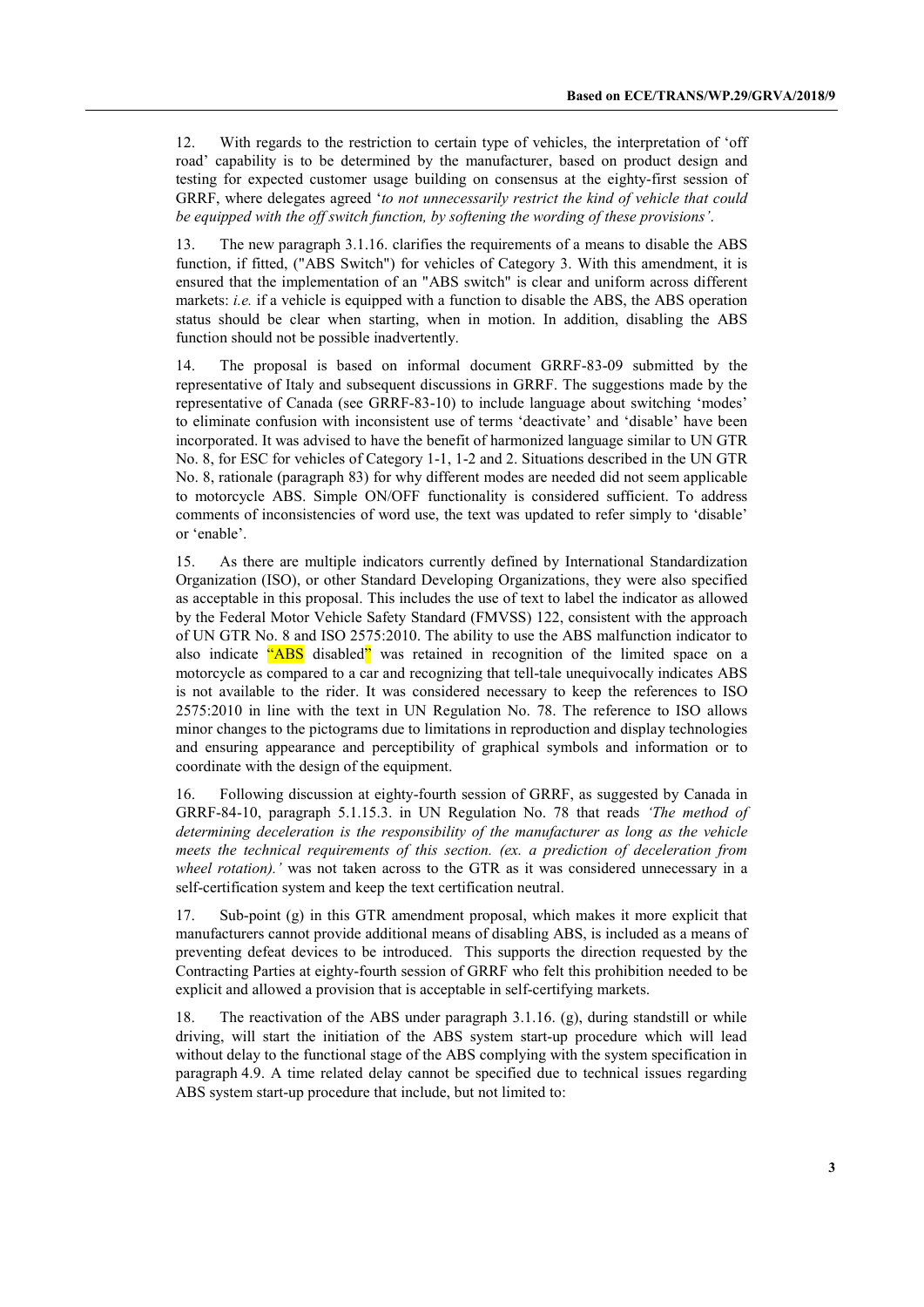12. With regards to the restriction to certain type of vehicles, the interpretation of 'off road' capability is to be determined by the manufacturer, based on product design and testing for expected customer usage building on consensus at the eighty-first session of GRRF, where delegates agreed '*to not unnecessarily restrict the kind of vehicle that could be equipped with the off switch function, by softening the wording of these provisions'*.

13. The new paragraph 3.1.16. clarifies the requirements of a means to disable the ABS function, if fitted, ("ABS Switch") for vehicles of Category 3. With this amendment, it is ensured that the implementation of an "ABS switch" is clear and uniform across different markets: *i.e.* if a vehicle is equipped with a function to disable the ABS, the ABS operation status should be clear when starting, when in motion. In addition, disabling the ABS function should not be possible inadvertently.

14. The proposal is based on informal document GRRF-83-09 submitted by the representative of Italy and subsequent discussions in GRRF. The suggestions made by the representative of Canada (see GRRF-83-10) to include language about switching 'modes' to eliminate confusion with inconsistent use of terms 'deactivate' and 'disable' have been incorporated. It was advised to have the benefit of harmonized language similar to UN GTR No. 8, for ESC for vehicles of Category 1-1, 1-2 and 2. Situations described in the UN GTR No. 8, rationale (paragraph 83) for why different modes are needed did not seem applicable to motorcycle ABS. Simple ON/OFF functionality is considered sufficient. To address comments of inconsistencies of word use, the text was updated to refer simply to 'disable' or 'enable'.

15. As there are multiple indicators currently defined by International Standardization Organization (ISO), or other Standard Developing Organizations, they were also specified as acceptable in this proposal. This includes the use of text to label the indicator as allowed by the Federal Motor Vehicle Safety Standard (FMVSS) 122, consistent with the approach of UN GTR No. 8 and ISO 2575:2010. The ability to use the ABS malfunction indicator to also indicate "ABS disabled" was retained in recognition of the limited space on a motorcycle as compared to a car and recognizing that tell-tale unequivocally indicates ABS is not available to the rider. It was considered necessary to keep the references to ISO 2575:2010 in line with the text in UN Regulation No. 78. The reference to ISO allows minor changes to the pictograms due to limitations in reproduction and display technologies and ensuring appearance and perceptibility of graphical symbols and information or to coordinate with the design of the equipment.

16. Following discussion at eighty-fourth session of GRRF, as suggested by Canada in GRRF-84-10, paragraph 5.1.15.3. in UN Regulation No. 78 that reads *'The method of determining deceleration is the responsibility of the manufacturer as long as the vehicle meets the technical requirements of this section. (ex. a prediction of deceleration from wheel rotation).'* was not taken across to the GTR as it was considered unnecessary in a self-certification system and keep the text certification neutral.

17. Sub-point (g) in this GTR amendment proposal, which makes it more explicit that manufacturers cannot provide additional means of disabling ABS, is included as a means of preventing defeat devices to be introduced. This supports the direction requested by the Contracting Parties at eighty-fourth session of GRRF who felt this prohibition needed to be explicit and allowed a provision that is acceptable in self-certifying markets.

18. The reactivation of the ABS under paragraph 3.1.16. (g), during standstill or while driving, will start the initiation of the ABS system start-up procedure which will lead without delay to the functional stage of the ABS complying with the system specification in paragraph 4.9. A time related delay cannot be specified due to technical issues regarding ABS system start-up procedure that include, but not limited to: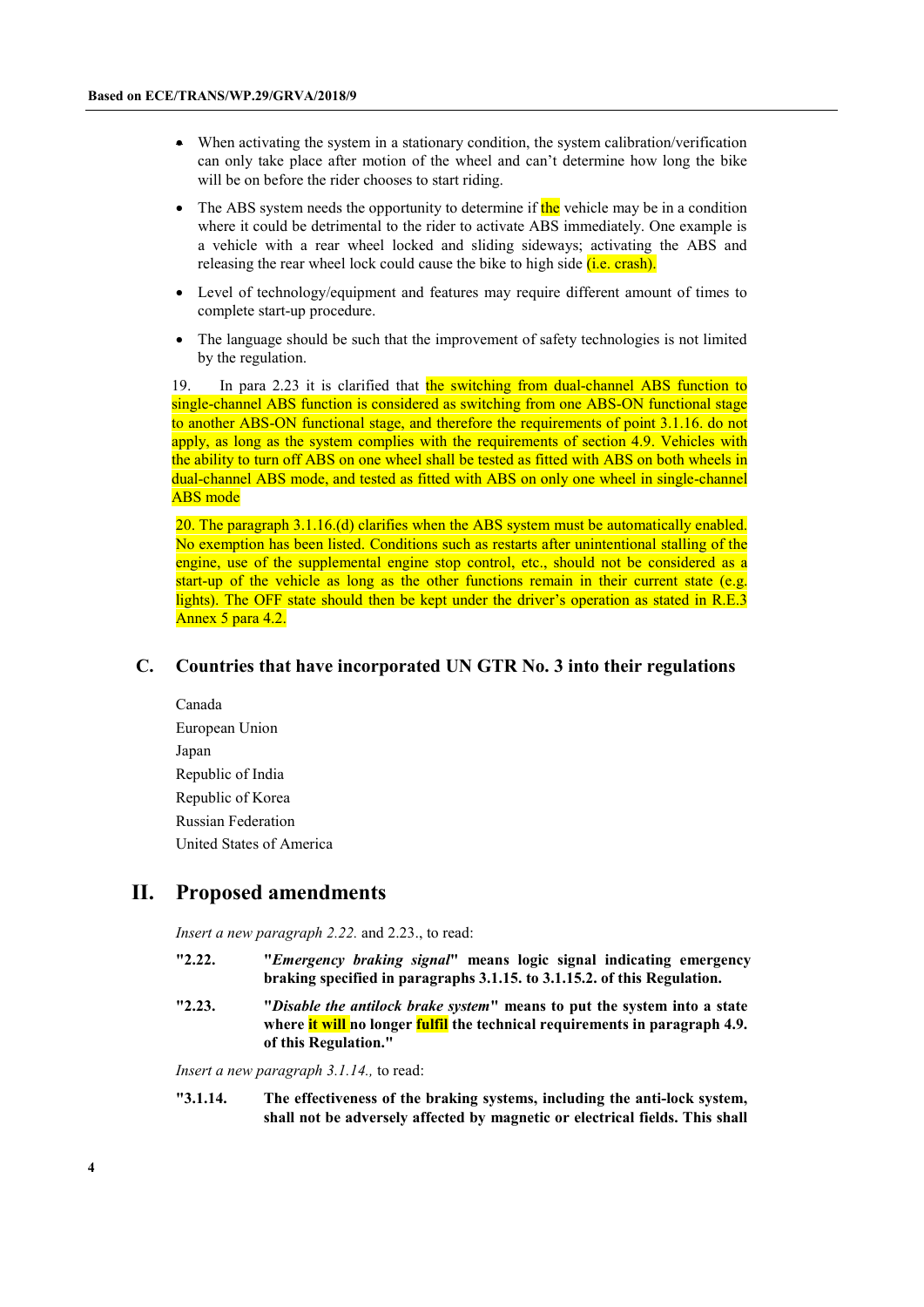- When activating the system in a stationary condition, the system calibration/verification can only take place after motion of the wheel and can't determine how long the bike will be on before the rider chooses to start riding.
- The ABS system needs the opportunity to determine if the vehicle may be in a condition where it could be detrimental to the rider to activate ABS immediately. One example is a vehicle with a rear wheel locked and sliding sideways; activating the ABS and releasing the rear wheel lock could cause the bike to high side *(i.e. crash)*.
- Level of technology/equipment and features may require different amount of times to complete start-up procedure.
- The language should be such that the improvement of safety technologies is not limited by the regulation.

19. In para 2.23 it is clarified that the switching from dual-channel ABS function to single-channel ABS function is considered as switching from one ABS-ON functional stage to another ABS-ON functional stage, and therefore the requirements of point 3.1.16. do not apply, as long as the system complies with the requirements of section 4.9. Vehicles with the ability to turn off ABS on one wheel shall be tested as fitted with ABS on both wheels in dual-channel ABS mode, and tested as fitted with ABS on only one wheel in single-channel ABS mode

20. The paragraph 3.1.16.(d) clarifies when the ABS system must be automatically enabled. No exemption has been listed. Conditions such as restarts after unintentional stalling of the engine, use of the supplemental engine stop control, etc., should not be considered as a start-up of the vehicle as long as the other functions remain in their current state (e.g. lights). The OFF state should then be kept under the driver's operation as stated in R.E.3 Annex 5 para 4.2.

#### **C. Countries that have incorporated UN GTR No. 3 into their regulations**

Canada European Union Japan Republic of India Republic of Korea Russian Federation United States of America

## **II. Proposed amendments**

*Insert a new paragraph 2.22.* and 2.23., to read:

- **"2.22. "***Emergency braking signal***" means logic signal indicating emergency braking specified in paragraphs 3.1.15. to 3.1.15.2. of this Regulation.**
- **"2.23. "***Disable the antilock brake system***" means to put the system into a state where it will no longer fulfil the technical requirements in paragraph 4.9. of this Regulation."**

*Insert a new paragraph 3.1.14.,* to read:

**"3.1.14. The effectiveness of the braking systems, including the anti-lock system, shall not be adversely affected by magnetic or electrical fields. This shall**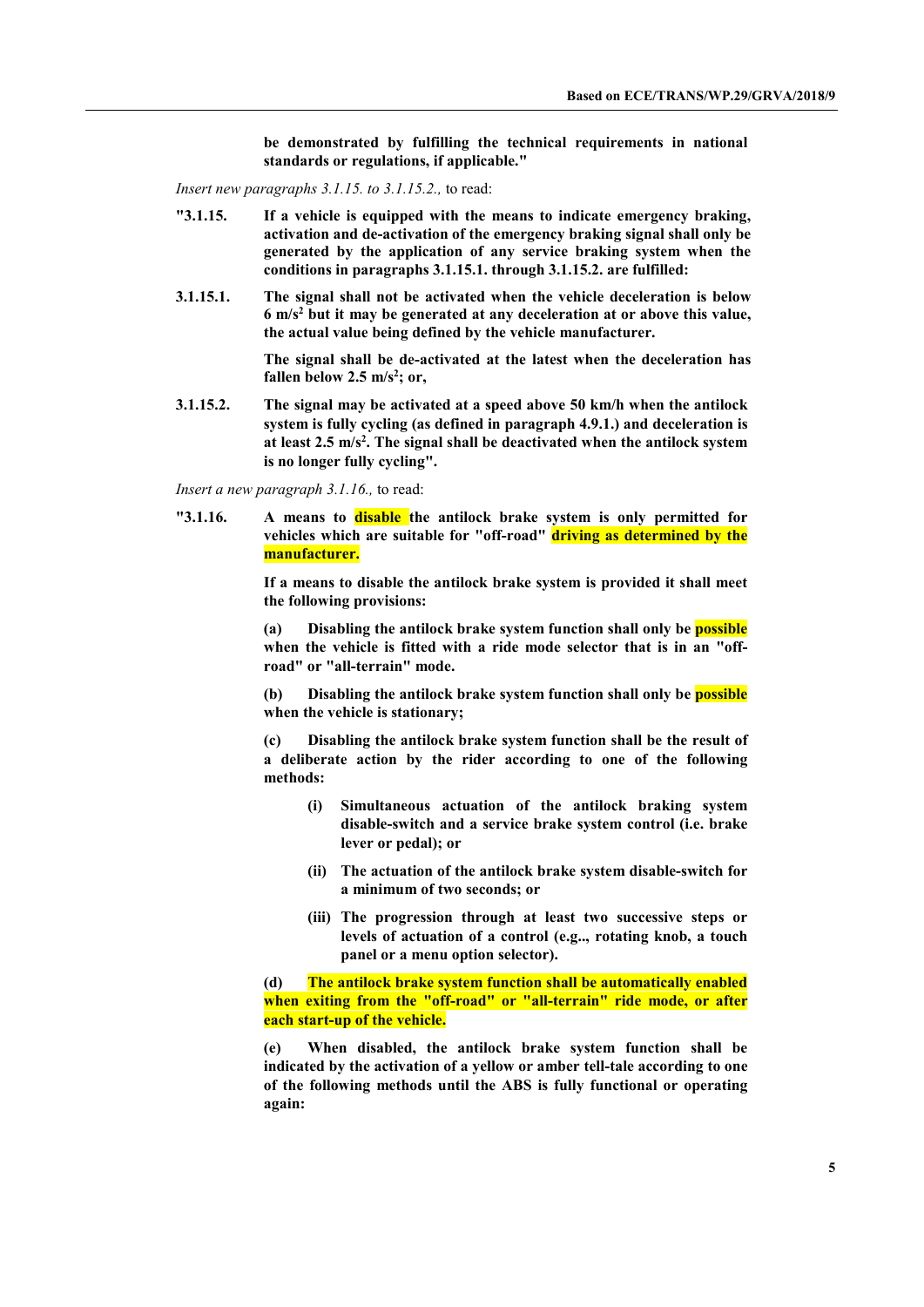**be demonstrated by fulfilling the technical requirements in national standards or regulations, if applicable."**

*Insert new paragraphs 3.1.15. to 3.1.15.2.,* to read:

- **"3.1.15. If a vehicle is equipped with the means to indicate emergency braking, activation and de-activation of the emergency braking signal shall only be generated by the application of any service braking system when the conditions in paragraphs 3.1.15.1. through 3.1.15.2. are fulfilled:**
- **3.1.15.1. The signal shall not be activated when the vehicle deceleration is below 6 m/s2 but it may be generated at any deceleration at or above this value, the actual value being defined by the vehicle manufacturer.**

**The signal shall be de-activated at the latest when the deceleration has fallen below 2.5 m/s2 ; or,**

**3.1.15.2. The signal may be activated at a speed above 50 km/h when the antilock system is fully cycling (as defined in paragraph 4.9.1.) and deceleration is at least 2.5 m/s2 . The signal shall be deactivated when the antilock system is no longer fully cycling".**

*Insert a new paragraph 3.1.16.,* to read:

**"3.1.16. A means to disable the antilock brake system is only permitted for vehicles which are suitable for "off-road" driving as determined by the manufacturer.** 

> **If a means to disable the antilock brake system is provided it shall meet the following provisions:**

> **(a) Disabling the antilock brake system function shall only be possible when the vehicle is fitted with a ride mode selector that is in an "offroad" or "all-terrain" mode.**

> **(b) Disabling the antilock brake system function shall only be possible when the vehicle is stationary;**

> **(c) Disabling the antilock brake system function shall be the result of a deliberate action by the rider according to one of the following methods:**

- **(i) Simultaneous actuation of the antilock braking system disable-switch and a service brake system control (i.e. brake lever or pedal); or**
- **(ii) The actuation of the antilock brake system disable-switch for a minimum of two seconds; or**
- **(iii) The progression through at least two successive steps or levels of actuation of a control (e.g.., rotating knob, a touch panel or a menu option selector).**

**(d) The antilock brake system function shall be automatically enabled when exiting from the "off-road" or "all-terrain" ride mode, or after each start-up of the vehicle.**

**(e) When disabled, the antilock brake system function shall be indicated by the activation of a yellow or amber tell-tale according to one of the following methods until the ABS is fully functional or operating again:**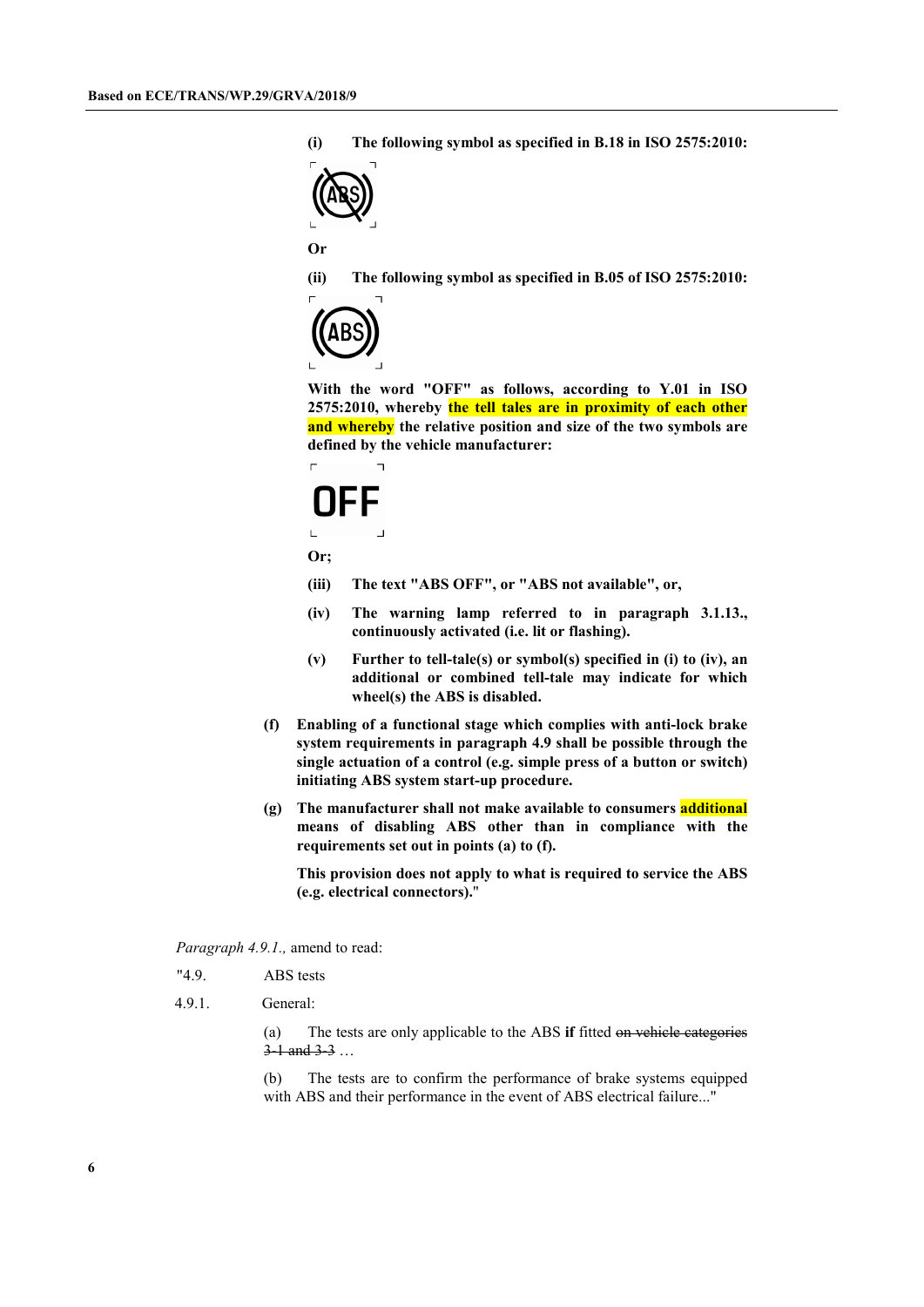**(i) The following symbol as specified in B.18 in ISO 2575:2010:**



**Or**

**(ii) The following symbol as specified in B.05 of ISO 2575:2010:**



**With the word "OFF" as follows, according to Y.01 in ISO 2575:2010, whereby the tell tales are in proximity of each other and whereby the relative position and size of the two symbols are defined by the vehicle manufacturer:**

# FF  $\overline{a}$

 $\overline{\phantom{a}}$ 

**Or;**

 $\Gamma$ 

- **(iii) The text "ABS OFF", or "ABS not available", or,**
- **(iv) The warning lamp referred to in paragraph 3.1.13., continuously activated (i.e. lit or flashing).**
- **(v) Further to tell-tale(s) or symbol(s) specified in (i) to (iv), an additional or combined tell-tale may indicate for which wheel(s) the ABS is disabled.**
- **(f) Enabling of a functional stage which complies with anti-lock brake system requirements in paragraph 4.9 shall be possible through the single actuation of a control (e.g. simple press of a button or switch) initiating ABS system start-up procedure.**
- **(g) The manufacturer shall not make available to consumers additional means of disabling ABS other than in compliance with the requirements set out in points (a) to (f).**

**This provision does not apply to what is required to service the ABS (e.g. electrical connectors).**"

*Paragraph 4.9.1.,* amend to read:

- "4.9. ABS tests
- 4.9.1. General:

(a) The tests are only applicable to the ABS **if** fitted on vehicle categories 3-1 and 3-3 …

(b) The tests are to confirm the performance of brake systems equipped with ABS and their performance in the event of ABS electrical failure..."